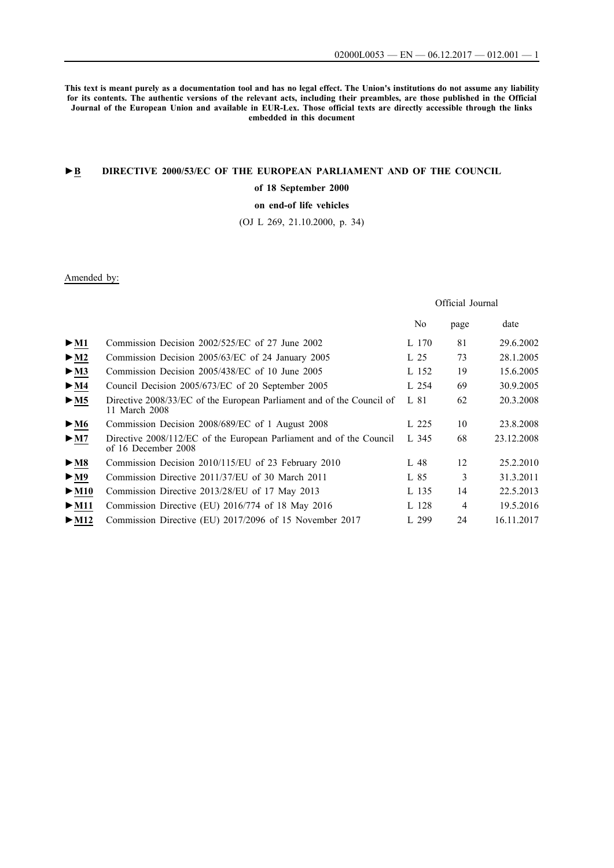**This text is meant purely as a documentation tool and has no legal effect. The Union's institutions do not assume any liability for its contents. The authentic versions of the relevant acts, including their preambles, are those published in the Official Journal of the European Union and available in EUR-Lex. Those official texts are directly accessible through the links embedded in this document**

## **►B [DIRECTIVE 2000/53/EC OF THE EUROPEAN PARLIAMENT AND OF THE COUNCIL](http://data.europa.eu/eli/dir/2000/53/oj/eng)**

### **[of 18 September 2000](http://data.europa.eu/eli/dir/2000/53/oj/eng)**

## **[on end-of life vehicles](http://data.europa.eu/eli/dir/2000/53/oj/eng)**

[\(OJ L 269, 21.10.2000, p. 34\)](http://data.europa.eu/eli/dir/2000/53/oj/eng)

## Amended by:

## Official Journal

|                            |                                                                                            | No    | page | date       |
|----------------------------|--------------------------------------------------------------------------------------------|-------|------|------------|
| $\triangleright$ M1        | Commission Decision 2002/525/EC of 27 June 2002                                            | L 170 | 81   | 29.6.2002  |
| $\triangleright$ <u>M2</u> | Commission Decision 2005/63/EC of 24 January 2005                                          | L 25  | 73   | 28.1.2005  |
| $\blacktriangleright$ M3   | Commission Decision 2005/438/EC of 10 June 2005                                            | L 152 | 19   | 15.6.2005  |
| $\blacktriangleright$ M4   | Council Decision 2005/673/EC of 20 September 2005                                          | L 254 | 69   | 30.9.2005  |
| > M5                       | Directive 2008/33/EC of the European Parliament and of the Council of<br>11 March 2008     | L 81  | 62   | 20.3.2008  |
| $\blacktriangleright$ M6   | Commission Decision 2008/689/EC of 1 August 2008                                           | L 225 | 10   | 23.8.2008  |
| $\blacktriangleright$ M7   | Directive 2008/112/EC of the European Parliament and of the Council<br>of 16 December 2008 | L 345 | 68   | 23.12.2008 |
| $\blacktriangleright$ M8   | Commission Decision 2010/115/EU of 23 February 2010                                        | L 48  | 12   | 25.2.2010  |
| $\blacktriangleright$ M9   | Commission Directive 2011/37/EU of 30 March 2011                                           | L 85  | 3    | 31.3.2011  |
| $\blacktriangleright$ M10  | Commission Directive 2013/28/EU of 17 May 2013                                             | L 135 | 14   | 22.5.2013  |
| $\blacktriangleright$ M11  | Commission Directive (EU) 2016/774 of 18 May 2016                                          | L 128 | 4    | 19.5.2016  |
| $\blacktriangleright$ M12  | Commission Directive (EU) 2017/2096 of 15 November 2017                                    | L 299 | 24   | 16.11.2017 |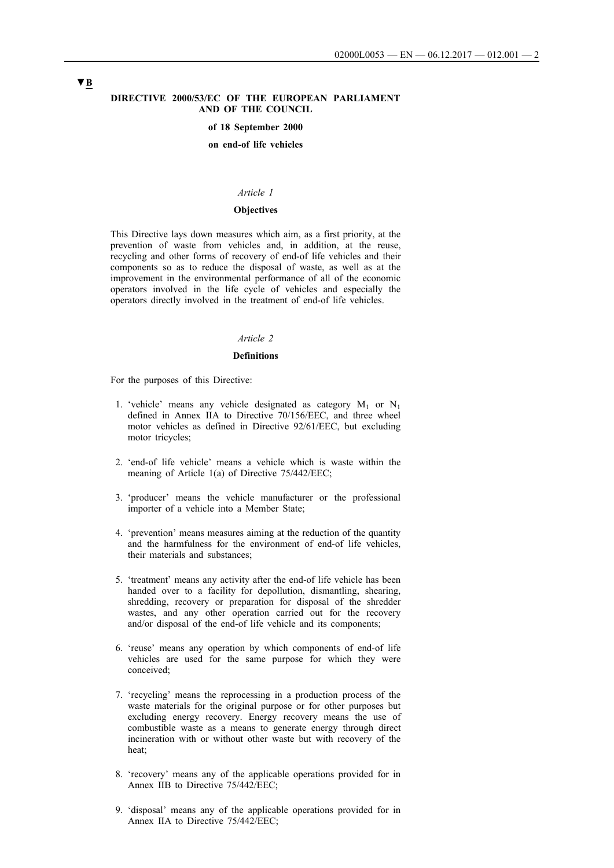#### **DIRECTIVE 2000/53/EC OF THE EUROPEAN PARLIAMENT AND OF THE COUNCIL**

#### **of 18 September 2000**

#### **on end-of life vehicles**

#### *Article 1*

#### **Objectives**

This Directive lays down measures which aim, as a first priority, at the prevention of waste from vehicles and, in addition, at the reuse, recycling and other forms of recovery of end-of life vehicles and their components so as to reduce the disposal of waste, as well as at the improvement in the environmental performance of all of the economic operators involved in the life cycle of vehicles and especially the operators directly involved in the treatment of end-of life vehicles.

#### *Article 2*

#### **Definitions**

For the purposes of this Directive:

- 1. 'vehicle' means any vehicle designated as category  $M_1$  or  $N_1$ defined in Annex IIA to Directive 70/156/EEC, and three wheel motor vehicles as defined in Directive 92/61/EEC, but excluding motor tricycles;
- 2. 'end-of life vehicle' means a vehicle which is waste within the meaning of Article 1(a) of Directive 75/442/EEC;
- 3. 'producer' means the vehicle manufacturer or the professional importer of a vehicle into a Member State;
- 4. 'prevention' means measures aiming at the reduction of the quantity and the harmfulness for the environment of end-of life vehicles, their materials and substances;
- 5. 'treatment' means any activity after the end-of life vehicle has been handed over to a facility for depollution, dismantling, shearing, shredding, recovery or preparation for disposal of the shredder wastes, and any other operation carried out for the recovery and/or disposal of the end-of life vehicle and its components;
- 6. 'reuse' means any operation by which components of end-of life vehicles are used for the same purpose for which they were conceived;
- 7. 'recycling' means the reprocessing in a production process of the waste materials for the original purpose or for other purposes but excluding energy recovery. Energy recovery means the use of combustible waste as a means to generate energy through direct incineration with or without other waste but with recovery of the heat;
- 8. 'recovery' means any of the applicable operations provided for in Annex IIB to Directive 75/442/EEC:
- 9. 'disposal' means any of the applicable operations provided for in Annex IIA to Directive 75/442/EEC;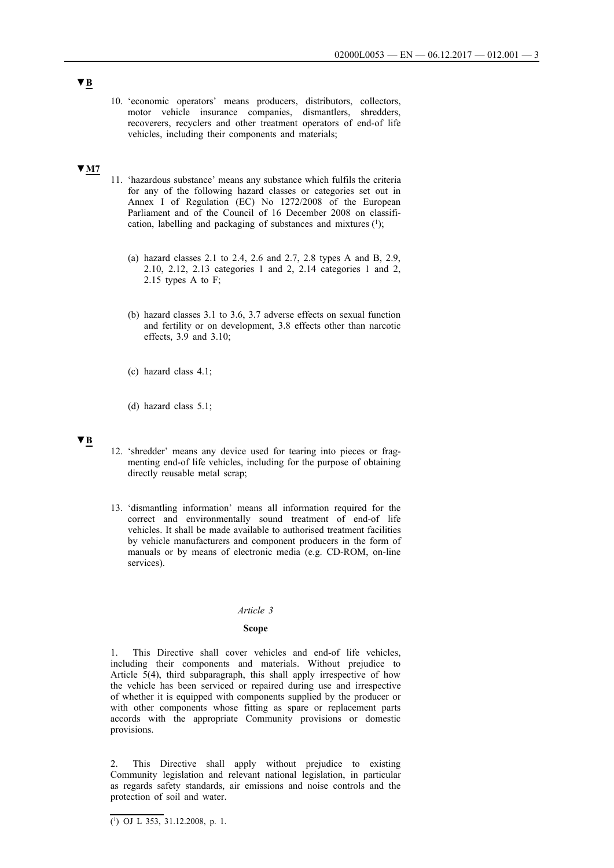10. 'economic operators' means producers, distributors, collectors, motor vehicle insurance companies, dismantlers, shredders, recoverers, recyclers and other treatment operators of end-of life vehicles, including their components and materials;

## **▼M7**

- 11. 'hazardous substance' means any substance which fulfils the criteria for any of the following hazard classes or categories set out in Annex I of Regulation (EC) No 1272/2008 of the European Parliament and of the Council of 16 December 2008 on classification, labelling and packaging of substances and mixtures  $(1)$ ;
	- (a) hazard classes 2.1 to 2.4, 2.6 and 2.7, 2.8 types A and B, 2.9, 2.10, 2.12, 2.13 categories 1 and 2, 2.14 categories 1 and 2, 2.15 types A to F;
	- (b) hazard classes 3.1 to 3.6, 3.7 adverse effects on sexual function and fertility or on development, 3.8 effects other than narcotic effects, 3.9 and 3.10;
	- (c) hazard class 4.1;
	- (d) hazard class 5.1;

## **▼B**

- 12. 'shredder' means any device used for tearing into pieces or fragmenting end-of life vehicles, including for the purpose of obtaining directly reusable metal scrap;
- 13. 'dismantling information' means all information required for the correct and environmentally sound treatment of end-of life vehicles. It shall be made available to authorised treatment facilities by vehicle manufacturers and component producers in the form of manuals or by means of electronic media (e.g. CD-ROM, on-line services).

#### *Article 3*

#### **Scope**

1. This Directive shall cover vehicles and end-of life vehicles, including their components and materials. Without prejudice to Article 5(4), third subparagraph, this shall apply irrespective of how the vehicle has been serviced or repaired during use and irrespective of whether it is equipped with components supplied by the producer or with other components whose fitting as spare or replacement parts accords with the appropriate Community provisions or domestic provisions.

2. This Directive shall apply without prejudice to existing Community legislation and relevant national legislation, in particular as regards safety standards, air emissions and noise controls and the protection of soil and water.

 $\overline{(^1)}$  OJ L 353, 31.12.2008, p. 1.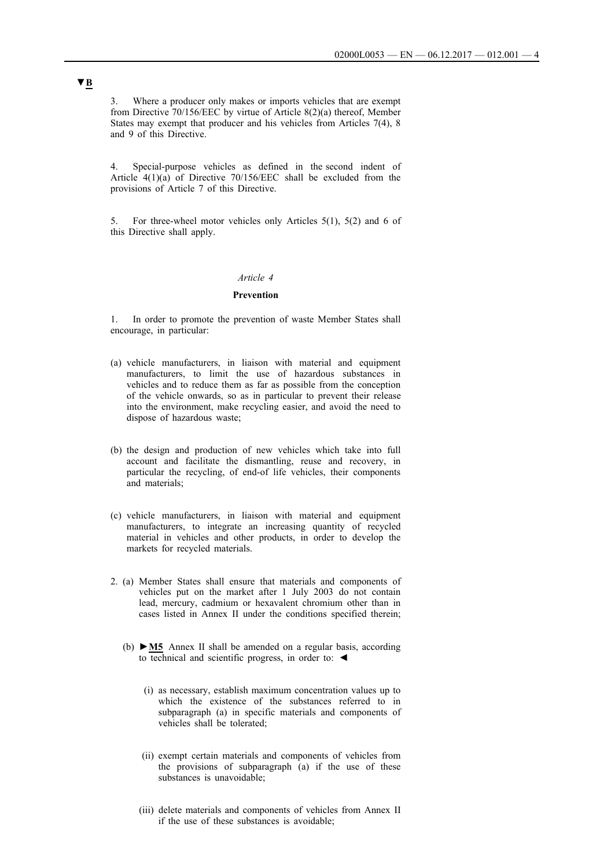3. Where a producer only makes or imports vehicles that are exempt from Directive 70/156/EEC by virtue of Article 8(2)(a) thereof, Member States may exempt that producer and his vehicles from Articles 7(4), 8 and 9 of this Directive.

4. Special-purpose vehicles as defined in the second indent of Article  $4(1)(a)$  of Directive 70/156/EEC shall be excluded from the provisions of Article 7 of this Directive.

5. For three-wheel motor vehicles only Articles 5(1), 5(2) and 6 of this Directive shall apply.

## *Article 4*

#### **Prevention**

1. In order to promote the prevention of waste Member States shall encourage, in particular:

- (a) vehicle manufacturers, in liaison with material and equipment manufacturers, to limit the use of hazardous substances in vehicles and to reduce them as far as possible from the conception of the vehicle onwards, so as in particular to prevent their release into the environment, make recycling easier, and avoid the need to dispose of hazardous waste;
- (b) the design and production of new vehicles which take into full account and facilitate the dismantling, reuse and recovery, in particular the recycling, of end-of life vehicles, their components and materials;
- (c) vehicle manufacturers, in liaison with material and equipment manufacturers, to integrate an increasing quantity of recycled material in vehicles and other products, in order to develop the markets for recycled materials.
- 2. (a) Member States shall ensure that materials and components of vehicles put on the market after 1 July 2003 do not contain lead, mercury, cadmium or hexavalent chromium other than in cases listed in Annex II under the conditions specified therein;
	- (b) **►M5** Annex II shall be amended on a regular basis, according to technical and scientific progress, in order to: ◀
		- (i) as necessary, establish maximum concentration values up to which the existence of the substances referred to in subparagraph (a) in specific materials and components of vehicles shall be tolerated;
		- (ii) exempt certain materials and components of vehicles from the provisions of subparagraph (a) if the use of these substances is unavoidable;
		- (iii) delete materials and components of vehicles from Annex II if the use of these substances is avoidable;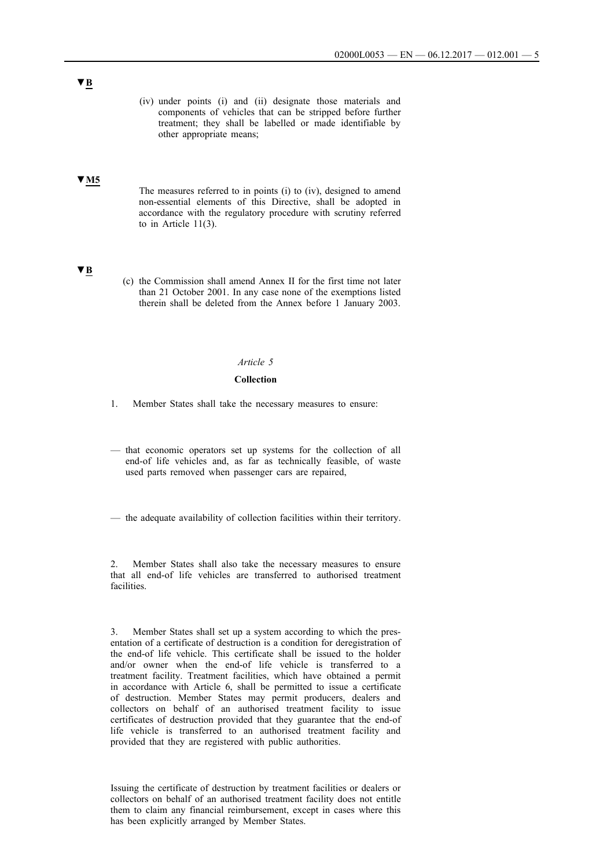(iv) under points (i) and (ii) designate those materials and components of vehicles that can be stripped before further treatment; they shall be labelled or made identifiable by other appropriate means;

### **▼M5**

The measures referred to in points (i) to (iv), designed to amend non-essential elements of this Directive, shall be adopted in accordance with the regulatory procedure with scrutiny referred to in Article 11(3).

## **▼B**

(c) the Commission shall amend Annex II for the first time not later than 21 October 2001. In any case none of the exemptions listed therein shall be deleted from the Annex before 1 January 2003.

### *Article 5*

### **Collection**

- 1. Member States shall take the necessary measures to ensure:
- that economic operators set up systems for the collection of all end-of life vehicles and, as far as technically feasible, of waste used parts removed when passenger cars are repaired,
- the adequate availability of collection facilities within their territory.

2. Member States shall also take the necessary measures to ensure that all end-of life vehicles are transferred to authorised treatment facilities.

3. Member States shall set up a system according to which the presentation of a certificate of destruction is a condition for deregistration of the end-of life vehicle. This certificate shall be issued to the holder and/or owner when the end-of life vehicle is transferred to a treatment facility. Treatment facilities, which have obtained a permit in accordance with Article 6, shall be permitted to issue a certificate of destruction. Member States may permit producers, dealers and collectors on behalf of an authorised treatment facility to issue certificates of destruction provided that they guarantee that the end-of life vehicle is transferred to an authorised treatment facility and provided that they are registered with public authorities.

Issuing the certificate of destruction by treatment facilities or dealers or collectors on behalf of an authorised treatment facility does not entitle them to claim any financial reimbursement, except in cases where this has been explicitly arranged by Member States.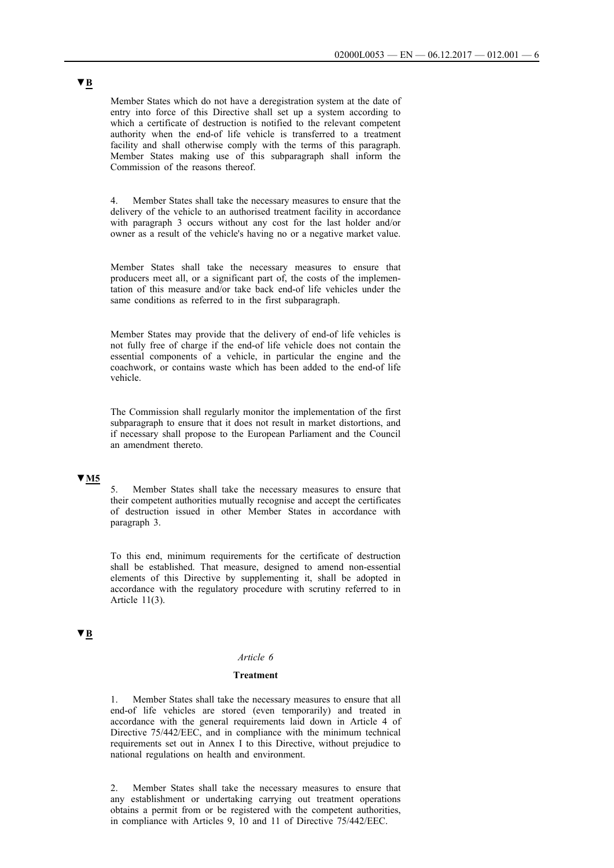Member States which do not have a deregistration system at the date of entry into force of this Directive shall set up a system according to which a certificate of destruction is notified to the relevant competent authority when the end-of life vehicle is transferred to a treatment facility and shall otherwise comply with the terms of this paragraph. Member States making use of this subparagraph shall inform the Commission of the reasons thereof.

4. Member States shall take the necessary measures to ensure that the delivery of the vehicle to an authorised treatment facility in accordance with paragraph 3 occurs without any cost for the last holder and/or owner as a result of the vehicle's having no or a negative market value.

Member States shall take the necessary measures to ensure that producers meet all, or a significant part of, the costs of the implementation of this measure and/or take back end-of life vehicles under the same conditions as referred to in the first subparagraph.

Member States may provide that the delivery of end-of life vehicles is not fully free of charge if the end-of life vehicle does not contain the essential components of a vehicle, in particular the engine and the coachwork, or contains waste which has been added to the end-of life vehicle.

The Commission shall regularly monitor the implementation of the first subparagraph to ensure that it does not result in market distortions, and if necessary shall propose to the European Parliament and the Council an amendment thereto.

## **▼M5**

5. Member States shall take the necessary measures to ensure that their competent authorities mutually recognise and accept the certificates of destruction issued in other Member States in accordance with paragraph 3.

To this end, minimum requirements for the certificate of destruction shall be established. That measure, designed to amend non-essential elements of this Directive by supplementing it, shall be adopted in accordance with the regulatory procedure with scrutiny referred to in Article 11(3).

### **▼B**

#### *Article 6*

#### **Treatment**

1. Member States shall take the necessary measures to ensure that all end-of life vehicles are stored (even temporarily) and treated in accordance with the general requirements laid down in Article 4 of Directive 75/442/EEC, and in compliance with the minimum technical requirements set out in Annex I to this Directive, without prejudice to national regulations on health and environment.

2. Member States shall take the necessary measures to ensure that any establishment or undertaking carrying out treatment operations obtains a permit from or be registered with the competent authorities, in compliance with Articles 9, 10 and 11 of Directive 75/442/EEC.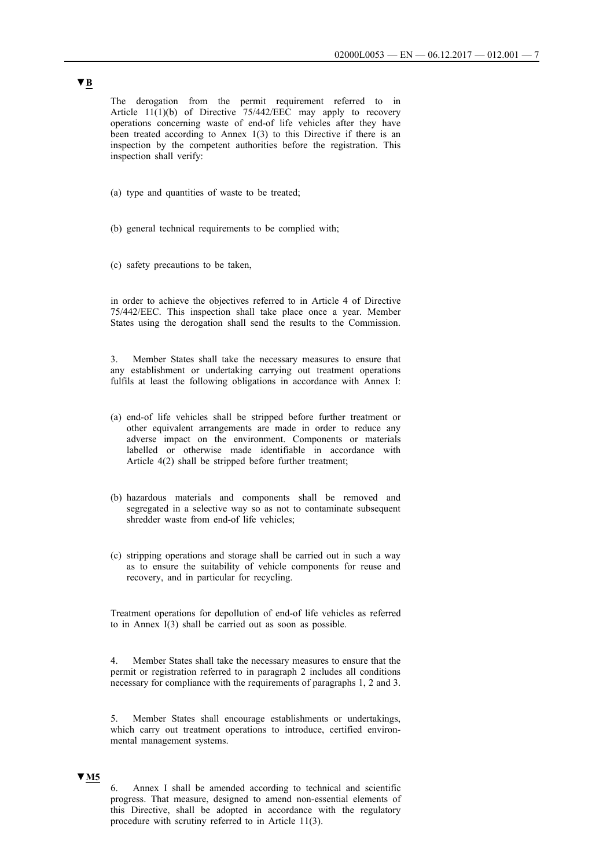The derogation from the permit requirement referred to in Article  $11(1)(b)$  of Directive 75/442/EEC may apply to recovery operations concerning waste of end-of life vehicles after they have been treated according to Annex 1(3) to this Directive if there is an inspection by the competent authorities before the registration. This inspection shall verify:

- (a) type and quantities of waste to be treated;
- (b) general technical requirements to be complied with;
- (c) safety precautions to be taken,

in order to achieve the objectives referred to in Article 4 of Directive 75/442/EEC. This inspection shall take place once a year. Member States using the derogation shall send the results to the Commission.

3. Member States shall take the necessary measures to ensure that any establishment or undertaking carrying out treatment operations fulfils at least the following obligations in accordance with Annex I:

- (a) end-of life vehicles shall be stripped before further treatment or other equivalent arrangements are made in order to reduce any adverse impact on the environment. Components or materials labelled or otherwise made identifiable in accordance with Article 4(2) shall be stripped before further treatment;
- (b) hazardous materials and components shall be removed and segregated in a selective way so as not to contaminate subsequent shredder waste from end-of life vehicles;
- (c) stripping operations and storage shall be carried out in such a way as to ensure the suitability of vehicle components for reuse and recovery, and in particular for recycling.

Treatment operations for depollution of end-of life vehicles as referred to in Annex I(3) shall be carried out as soon as possible.

4. Member States shall take the necessary measures to ensure that the permit or registration referred to in paragraph 2 includes all conditions necessary for compliance with the requirements of paragraphs 1, 2 and 3.

5. Member States shall encourage establishments or undertakings, which carry out treatment operations to introduce, certified environmental management systems.

## **▼M5**

6. Annex I shall be amended according to technical and scientific progress. That measure, designed to amend non-essential elements of this Directive, shall be adopted in accordance with the regulatory procedure with scrutiny referred to in Article 11(3).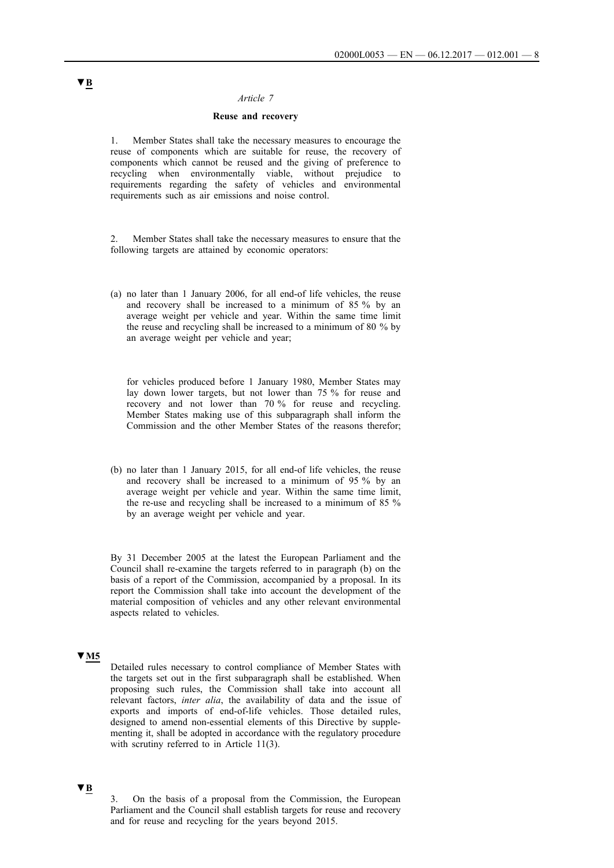## *Article 7*

#### **Reuse and recovery**

1. Member States shall take the necessary measures to encourage the reuse of components which are suitable for reuse, the recovery of components which cannot be reused and the giving of preference to recycling when environmentally viable, without prejudice to requirements regarding the safety of vehicles and environmental requirements such as air emissions and noise control.

2. Member States shall take the necessary measures to ensure that the following targets are attained by economic operators:

(a) no later than 1 January 2006, for all end-of life vehicles, the reuse and recovery shall be increased to a minimum of 85 % by an average weight per vehicle and year. Within the same time limit the reuse and recycling shall be increased to a minimum of 80 % by an average weight per vehicle and year;

for vehicles produced before 1 January 1980, Member States may lay down lower targets, but not lower than 75 % for reuse and recovery and not lower than 70 % for reuse and recycling. Member States making use of this subparagraph shall inform the Commission and the other Member States of the reasons therefor;

(b) no later than 1 January 2015, for all end-of life vehicles, the reuse and recovery shall be increased to a minimum of 95 % by an average weight per vehicle and year. Within the same time limit, the re-use and recycling shall be increased to a minimum of 85 % by an average weight per vehicle and year.

By 31 December 2005 at the latest the European Parliament and the Council shall re-examine the targets referred to in paragraph (b) on the basis of a report of the Commission, accompanied by a proposal. In its report the Commission shall take into account the development of the material composition of vehicles and any other relevant environmental aspects related to vehicles.

#### **▼M5**

Detailed rules necessary to control compliance of Member States with the targets set out in the first subparagraph shall be established. When proposing such rules, the Commission shall take into account all relevant factors, *inter alia*, the availability of data and the issue of exports and imports of end-of-life vehicles. Those detailed rules, designed to amend non-essential elements of this Directive by supplementing it, shall be adopted in accordance with the regulatory procedure with scrutiny referred to in Article 11(3).

#### **▼B**

3. On the basis of a proposal from the Commission, the European Parliament and the Council shall establish targets for reuse and recovery and for reuse and recycling for the years beyond 2015.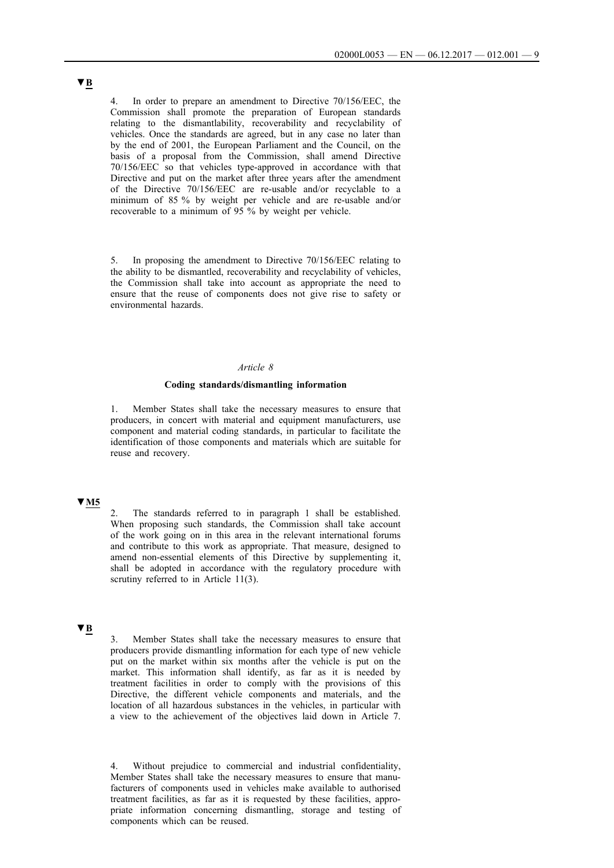In order to prepare an amendment to Directive 70/156/EEC, the Commission shall promote the preparation of European standards relating to the dismantlability, recoverability and recyclability of vehicles. Once the standards are agreed, but in any case no later than by the end of 2001, the European Parliament and the Council, on the basis of a proposal from the Commission, shall amend Directive 70/156/EEC so that vehicles type-approved in accordance with that Directive and put on the market after three years after the amendment of the Directive 70/156/EEC are re-usable and/or recyclable to a minimum of 85 % by weight per vehicle and are re-usable and/or recoverable to a minimum of 95 % by weight per vehicle.

5. In proposing the amendment to Directive 70/156/EEC relating to the ability to be dismantled, recoverability and recyclability of vehicles, the Commission shall take into account as appropriate the need to ensure that the reuse of components does not give rise to safety or environmental hazards.

#### *Article 8*

#### **Coding standards/dismantling information**

1. Member States shall take the necessary measures to ensure that producers, in concert with material and equipment manufacturers, use component and material coding standards, in particular to facilitate the identification of those components and materials which are suitable for reuse and recovery.

### **▼M5**

2. The standards referred to in paragraph 1 shall be established. When proposing such standards, the Commission shall take account of the work going on in this area in the relevant international forums and contribute to this work as appropriate. That measure, designed to amend non-essential elements of this Directive by supplementing it, shall be adopted in accordance with the regulatory procedure with scrutiny referred to in Article 11(3).

## **▼B**

3. Member States shall take the necessary measures to ensure that producers provide dismantling information for each type of new vehicle put on the market within six months after the vehicle is put on the market. This information shall identify, as far as it is needed by treatment facilities in order to comply with the provisions of this Directive, the different vehicle components and materials, and the location of all hazardous substances in the vehicles, in particular with a view to the achievement of the objectives laid down in Article 7.

4. Without prejudice to commercial and industrial confidentiality, Member States shall take the necessary measures to ensure that manufacturers of components used in vehicles make available to authorised treatment facilities, as far as it is requested by these facilities, appropriate information concerning dismantling, storage and testing of components which can be reused.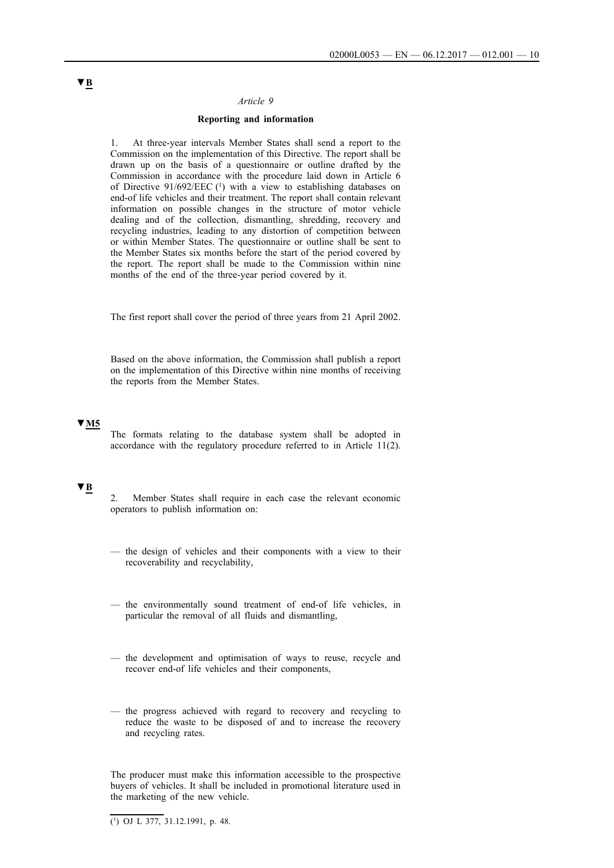#### *Article 9*

### **Reporting and information**

1. At three-year intervals Member States shall send a report to the Commission on the implementation of this Directive. The report shall be drawn up on the basis of a questionnaire or outline drafted by the Commission in accordance with the procedure laid down in Article 6 of Directive 91/692/EEC (1) with a view to establishing databases on end-of life vehicles and their treatment. The report shall contain relevant information on possible changes in the structure of motor vehicle dealing and of the collection, dismantling, shredding, recovery and recycling industries, leading to any distortion of competition between or within Member States. The questionnaire or outline shall be sent to the Member States six months before the start of the period covered by the report. The report shall be made to the Commission within nine months of the end of the three-year period covered by it.

The first report shall cover the period of three years from 21 April 2002.

Based on the above information, the Commission shall publish a report on the implementation of this Directive within nine months of receiving the reports from the Member States.

### **▼M5**

The formats relating to the database system shall be adopted in accordance with the regulatory procedure referred to in Article 11(2).

#### **▼B**

- 2. Member States shall require in each case the relevant economic operators to publish information on:
- the design of vehicles and their components with a view to their recoverability and recyclability,
- the environmentally sound treatment of end-of life vehicles, in particular the removal of all fluids and dismantling,
- the development and optimisation of ways to reuse, recycle and recover end-of life vehicles and their components,
- the progress achieved with regard to recovery and recycling to reduce the waste to be disposed of and to increase the recovery and recycling rates.

The producer must make this information accessible to the prospective buyers of vehicles. It shall be included in promotional literature used in the marketing of the new vehicle.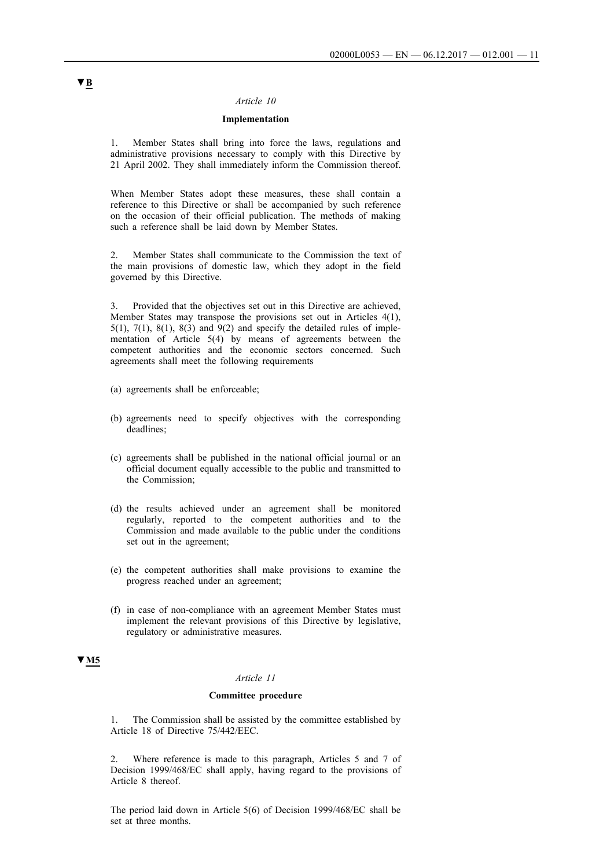#### *Article 10*

### **Implementation**

1. Member States shall bring into force the laws, regulations and administrative provisions necessary to comply with this Directive by 21 April 2002. They shall immediately inform the Commission thereof.

When Member States adopt these measures, these shall contain a reference to this Directive or shall be accompanied by such reference on the occasion of their official publication. The methods of making such a reference shall be laid down by Member States.

2. Member States shall communicate to the Commission the text of the main provisions of domestic law, which they adopt in the field governed by this Directive.

3. Provided that the objectives set out in this Directive are achieved, Member States may transpose the provisions set out in Articles 4(1), 5(1), 7(1), 8(1), 8(3) and 9(2) and specify the detailed rules of implementation of Article 5(4) by means of agreements between the competent authorities and the economic sectors concerned. Such agreements shall meet the following requirements

- (a) agreements shall be enforceable;
- (b) agreements need to specify objectives with the corresponding deadlines;
- (c) agreements shall be published in the national official journal or an official document equally accessible to the public and transmitted to the Commission;
- (d) the results achieved under an agreement shall be monitored regularly, reported to the competent authorities and to the Commission and made available to the public under the conditions set out in the agreement;
- (e) the competent authorities shall make provisions to examine the progress reached under an agreement;
- (f) in case of non-compliance with an agreement Member States must implement the relevant provisions of this Directive by legislative, regulatory or administrative measures.

## **▼M5**

## *Article 11*

#### **Committee procedure**

1. The Commission shall be assisted by the committee established by Article 18 of Directive 75/442/EEC.

2. Where reference is made to this paragraph, Articles 5 and 7 of Decision 1999/468/EC shall apply, having regard to the provisions of Article 8 thereof.

The period laid down in Article 5(6) of Decision 1999/468/EC shall be set at three months.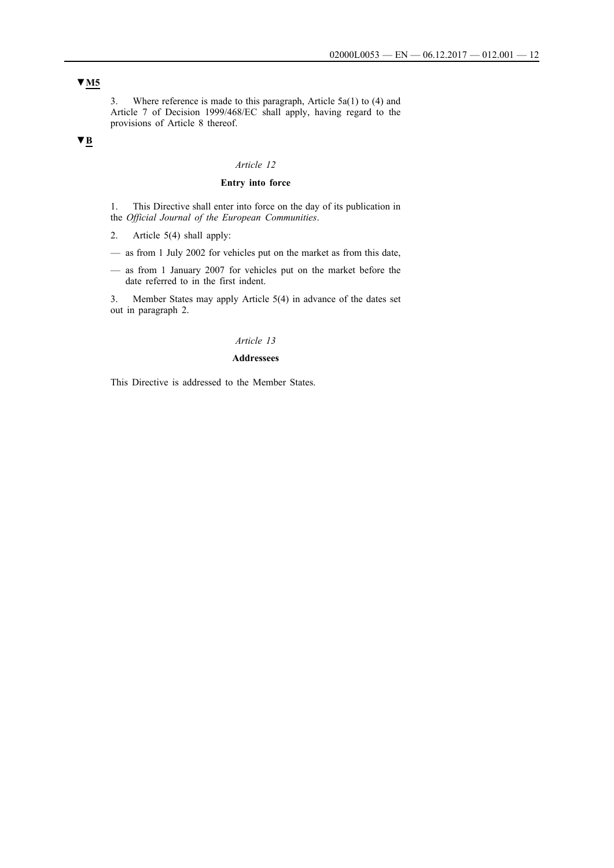## **▼M5**

3. Where reference is made to this paragraph, Article 5a(1) to (4) and Article 7 of Decision 1999/468/EC shall apply, having regard to the provisions of Article 8 thereof.

## **▼B**

## *Article 12*

### **Entry into force**

1. This Directive shall enter into force on the day of its publication in the *Official Journal of the European Communities*.

2. Article 5(4) shall apply:

- as from 1 July 2002 for vehicles put on the market as from this date,
- as from 1 January 2007 for vehicles put on the market before the date referred to in the first indent.

3. Member States may apply Article 5(4) in advance of the dates set out in paragraph 2.

#### *Article 13*

#### **Addressees**

This Directive is addressed to the Member States.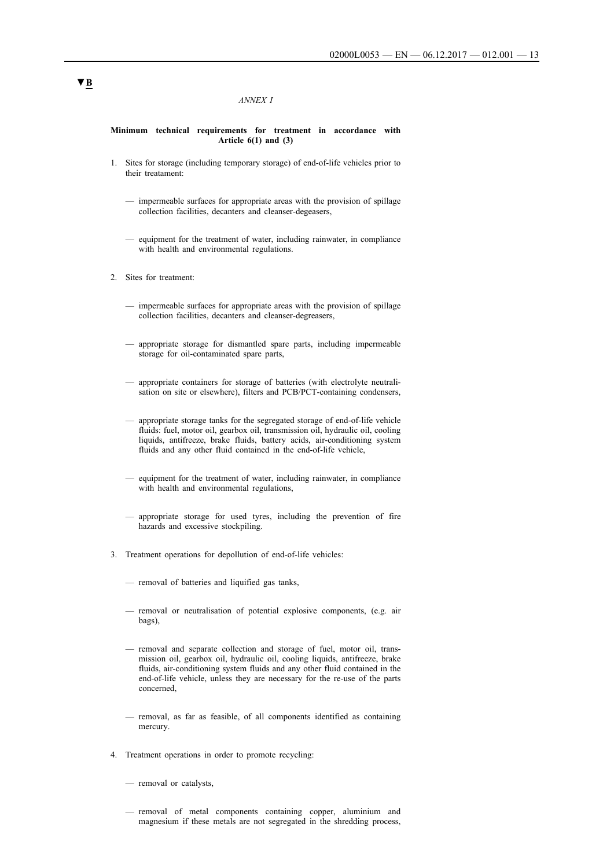#### *ANNEX I*

#### **Minimum technical requirements for treatment in accordance with Article 6(1) and (3)**

- 1. Sites for storage (including temporary storage) of end-of-life vehicles prior to their treatament:
	- impermeable surfaces for appropriate areas with the provision of spillage collection facilities, decanters and cleanser-degeasers,
	- equipment for the treatment of water, including rainwater, in compliance with health and environmental regulations.
- 2. Sites for treatment:
	- impermeable surfaces for appropriate areas with the provision of spillage collection facilities, decanters and cleanser-degreasers,
	- appropriate storage for dismantled spare parts, including impermeable storage for oil-contaminated spare parts,
	- appropriate containers for storage of batteries (with electrolyte neutralisation on site or elsewhere), filters and PCB/PCT-containing condensers,
	- appropriate storage tanks for the segregated storage of end-of-life vehicle fluids: fuel, motor oil, gearbox oil, transmission oil, hydraulic oil, cooling liquids, antifreeze, brake fluids, battery acids, air-conditioning system fluids and any other fluid contained in the end-of-life vehicle,
	- equipment for the treatment of water, including rainwater, in compliance with health and environmental regulations,
	- appropriate storage for used tyres, including the prevention of fire hazards and excessive stockpiling.
- 3. Treatment operations for depollution of end-of-life vehicles:
	- removal of batteries and liquified gas tanks,
	- removal or neutralisation of potential explosive components, (e.g. air bags),
	- removal and separate collection and storage of fuel, motor oil, transmission oil, gearbox oil, hydraulic oil, cooling liquids, antifreeze, brake fluids, air-conditioning system fluids and any other fluid contained in the end-of-life vehicle, unless they are necessary for the re-use of the parts concerned,
	- removal, as far as feasible, of all components identified as containing mercury.
- 4. Treatment operations in order to promote recycling:
	- removal or catalysts,
	- removal of metal components containing copper, aluminium and magnesium if these metals are not segregated in the shredding process,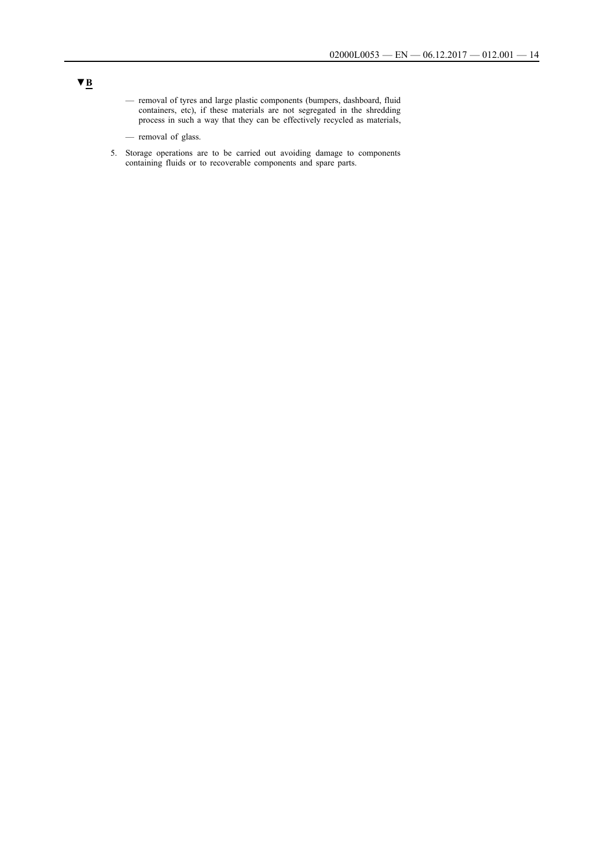- removal of tyres and large plastic components (bumpers, dashboard, fluid containers, etc), if these materials are not segregated in the shredding process in such a way that they can be effectively recycled as materials,
- removal of glass.
- 5. Storage operations are to be carried out avoiding damage to components containing fluids or to recoverable components and spare parts.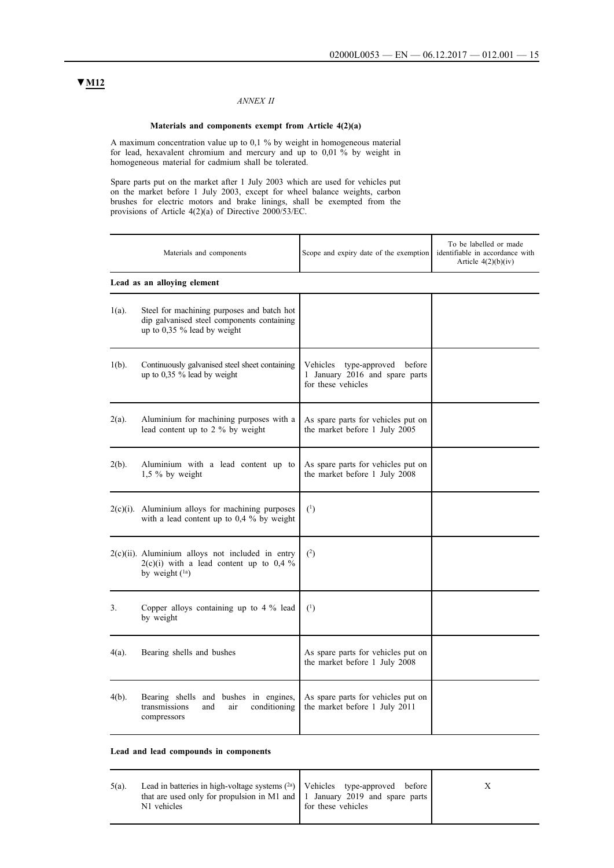## *ANNEX II*

#### **Materials and components exempt from Article 4(2)(a)**

A maximum concentration value up to 0,1 % by weight in homogeneous material for lead, hexavalent chromium and mercury and up to 0,01 % by weight in homogeneous material for cadmium shall be tolerated.

Spare parts put on the market after 1 July 2003 which are used for vehicles put on the market before 1 July 2003, except for wheel balance weights, carbon brushes for electric motors and brake linings, shall be exempted from the provisions of Article 4(2)(a) of Directive 2000/53/EC.

|          | Materials and components                                                                                                | Scope and expiry date of the exemption                                                | To be labelled or made<br>identifiable in accordance with<br>Article $4(2)(b)(iv)$ |
|----------|-------------------------------------------------------------------------------------------------------------------------|---------------------------------------------------------------------------------------|------------------------------------------------------------------------------------|
|          | Lead as an alloying element                                                                                             |                                                                                       |                                                                                    |
| $1(a)$ . | Steel for machining purposes and batch hot<br>dip galvanised steel components containing<br>up to 0,35 % lead by weight |                                                                                       |                                                                                    |
| $1(b)$ . | Continuously galvanised steel sheet containing<br>up to 0,35 % lead by weight                                           | Vehicles type-approved before<br>1 January 2016 and spare parts<br>for these vehicles |                                                                                    |
| $2(a)$ . | Aluminium for machining purposes with a<br>lead content up to 2 % by weight                                             | As spare parts for vehicles put on<br>the market before 1 July 2005                   |                                                                                    |
| $2(b)$ . | Aluminium with a lead content up to<br>1,5 % by weight                                                                  | As spare parts for vehicles put on<br>the market before 1 July 2008                   |                                                                                    |
|          | $2(c)(i)$ . Aluminium alloys for machining purposes<br>with a lead content up to $0.4 \%$ by weight                     | $^{(1)}$                                                                              |                                                                                    |
|          | $2(c)(ii)$ . Aluminium alloys not included in entry<br>$2(c)(i)$ with a lead content up to 0,4 %<br>by weight (1a)      | (2)                                                                                   |                                                                                    |
| 3.       | Copper alloys containing up to $4\%$ lead<br>by weight                                                                  | $^{(1)}$                                                                              |                                                                                    |
| $4(a)$ . | Bearing shells and bushes                                                                                               | As spare parts for vehicles put on<br>the market before 1 July 2008                   |                                                                                    |
| $4(b)$ . | Bearing shells and bushes in engines,<br>conditioning<br>transmissions<br>air<br>and<br>compressors                     | As spare parts for vehicles put on<br>the market before 1 July 2011                   |                                                                                    |

**Lead and lead compounds in components**

| $5(a)$ . | Lead in batteries in high-voltage systems $(2a)$   Vehicles type-approved before  <br>that are used only for propulsion in M1 and $\vert$ 1 January 2019 and spare parts $\vert$<br>N1 vehicles | of these vehicles |  |
|----------|-------------------------------------------------------------------------------------------------------------------------------------------------------------------------------------------------|-------------------|--|
|----------|-------------------------------------------------------------------------------------------------------------------------------------------------------------------------------------------------|-------------------|--|

## **▼M12**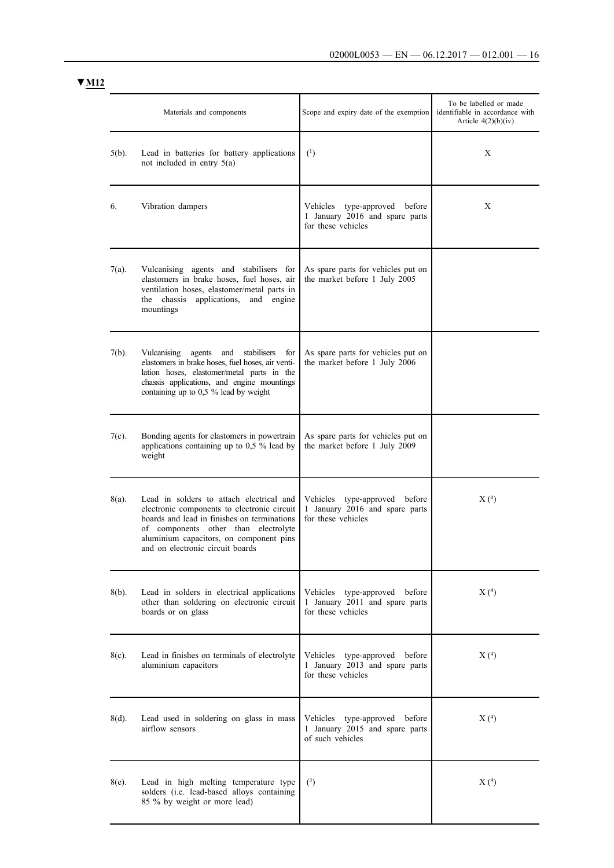**▼M12**

|          | Materials and components                                                                                                                                                                                                                                      | Scope and expiry date of the exemption                                                   | To be labelled or made<br>identifiable in accordance with<br>Article $4(2)(b)(iv)$ |
|----------|---------------------------------------------------------------------------------------------------------------------------------------------------------------------------------------------------------------------------------------------------------------|------------------------------------------------------------------------------------------|------------------------------------------------------------------------------------|
| $5(b)$ . | Lead in batteries for battery applications<br>not included in entry $5(a)$                                                                                                                                                                                    | (1)                                                                                      | X                                                                                  |
| 6.       | Vibration dampers                                                                                                                                                                                                                                             | Vehicles type-approved before<br>1 January 2016 and spare parts<br>for these vehicles    | X                                                                                  |
| $7(a)$ . | Vulcanising agents and stabilisers for<br>elastomers in brake hoses, fuel hoses, air<br>ventilation hoses, elastomer/metal parts in<br>the chassis<br>applications,<br>and engine<br>mountings                                                                | As spare parts for vehicles put on<br>the market before 1 July 2005                      |                                                                                    |
| $7(b)$ . | stabilisers<br>Vulcanising<br>agents<br>and<br>for<br>elastomers in brake hoses, fuel hoses, air venti-<br>lation hoses, elastomer/metal parts in the<br>chassis applications, and engine mountings<br>containing up to 0,5 % lead by weight                  | As spare parts for vehicles put on<br>the market before 1 July 2006                      |                                                                                    |
| $7(c)$ . | Bonding agents for elastomers in powertrain<br>applications containing up to $0.5$ % lead by<br>weight                                                                                                                                                        | As spare parts for vehicles put on<br>the market before 1 July 2009                      |                                                                                    |
| 8(a).    | Lead in solders to attach electrical and<br>electronic components to electronic circuit<br>boards and lead in finishes on terminations<br>of components other than electrolyte<br>aluminium capacitors, on component pins<br>and on electronic circuit boards | type-approved before<br>Vehicles<br>1 January 2016 and spare parts<br>for these vehicles | X(4)                                                                               |
| $8(b)$ . | Lead in solders in electrical applications<br>other than soldering on electronic circuit<br>boards or on glass                                                                                                                                                | Vehicles type-approved before<br>1 January 2011 and spare parts<br>for these vehicles    | X(4)                                                                               |
| $8(c)$ . | Lead in finishes on terminals of electrolyte<br>aluminium capacitors                                                                                                                                                                                          | Vehicles type-approved before<br>1 January 2013 and spare parts<br>for these vehicles    | X(4)                                                                               |
| $8(d)$ . | Lead used in soldering on glass in mass<br>airflow sensors                                                                                                                                                                                                    | Vehicles type-approved before<br>1 January 2015 and spare parts<br>of such vehicles      | X(4)                                                                               |
| $8(e)$ . | Lead in high melting temperature type<br>solders (i.e. lead-based alloys containing<br>85 % by weight or more lead)                                                                                                                                           | (3)                                                                                      | X(4)                                                                               |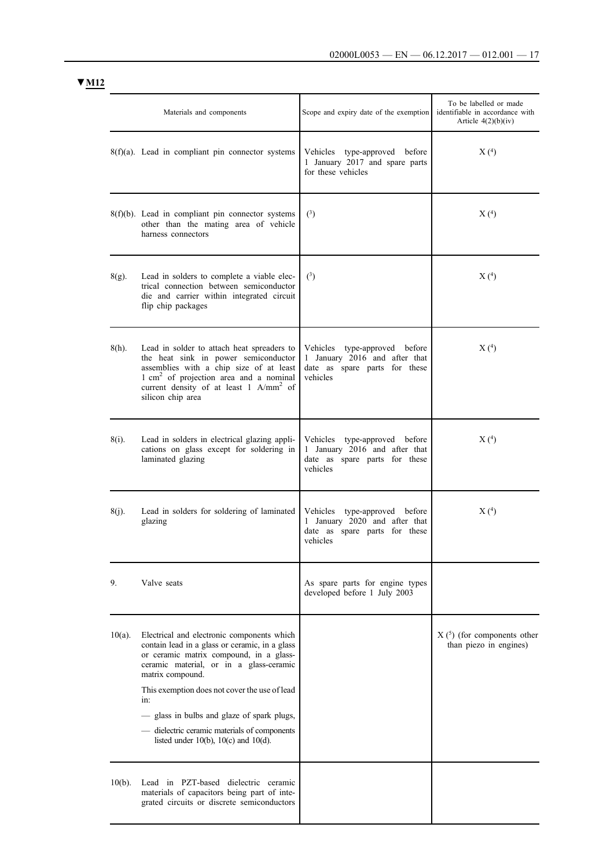| VI 17 |
|-------|
|-------|

|           | Materials and components                                                                                                                                                                                                                                                                                                                                                                                   | Scope and expiry date of the exemption                                                                         | To be labelled or made<br>identifiable in accordance with<br>Article $4(2)(b)(iv)$ |
|-----------|------------------------------------------------------------------------------------------------------------------------------------------------------------------------------------------------------------------------------------------------------------------------------------------------------------------------------------------------------------------------------------------------------------|----------------------------------------------------------------------------------------------------------------|------------------------------------------------------------------------------------|
|           | $8(f)(a)$ . Lead in compliant pin connector systems                                                                                                                                                                                                                                                                                                                                                        | Vehicles type-approved before<br>1 January 2017 and spare parts<br>for these vehicles                          | X(4)                                                                               |
|           | $8(f)(b)$ . Lead in compliant pin connector systems<br>other than the mating area of vehicle<br>harness connectors                                                                                                                                                                                                                                                                                         | (3)                                                                                                            | X(4)                                                                               |
| $8(g)$ .  | Lead in solders to complete a viable elec-<br>trical connection between semiconductor<br>die and carrier within integrated circuit<br>flip chip packages                                                                                                                                                                                                                                                   | $^{\left(3\right)}$                                                                                            | X(4)                                                                               |
| $8(h)$ .  | Lead in solder to attach heat spreaders to<br>the heat sink in power semiconductor<br>assemblies with a chip size of at least<br>$1 \text{ cm}^2$ of projection area and a nominal<br>current density of at least 1 A/mm <sup>2</sup> of<br>silicon chip area                                                                                                                                              | Vehicles<br>type-approved before<br>1 January 2016 and after that<br>date as spare parts for these<br>vehicles | X(4)                                                                               |
| 8(i).     | Lead in solders in electrical glazing appli-<br>cations on glass except for soldering in<br>laminated glazing                                                                                                                                                                                                                                                                                              | Vehicles type-approved before<br>1 January 2016 and after that<br>date as spare parts for these<br>vehicles    | X(4)                                                                               |
| $8(i)$ .  | Lead in solders for soldering of laminated<br>glazing                                                                                                                                                                                                                                                                                                                                                      | Vehicles type-approved before<br>1 January 2020 and after that<br>date as spare parts for these<br>vehicles    | X(4)                                                                               |
| 9.        | Valve seats                                                                                                                                                                                                                                                                                                                                                                                                | As spare parts for engine types<br>developed before 1 July 2003                                                |                                                                                    |
| $10(a)$ . | Electrical and electronic components which<br>contain lead in a glass or ceramic, in a glass<br>or ceramic matrix compound, in a glass-<br>ceramic material, or in a glass-ceramic<br>matrix compound.<br>This exemption does not cover the use of lead<br>in:<br>glass in bulbs and glaze of spark plugs,<br>- dielectric ceramic materials of components<br>listed under $10(b)$ , $10(c)$ and $10(d)$ . |                                                                                                                | $X(5)$ (for components other<br>than piezo in engines)                             |
| $10(b)$ . | Lead in PZT-based dielectric ceramic<br>materials of capacitors being part of inte-<br>grated circuits or discrete semiconductors                                                                                                                                                                                                                                                                          |                                                                                                                |                                                                                    |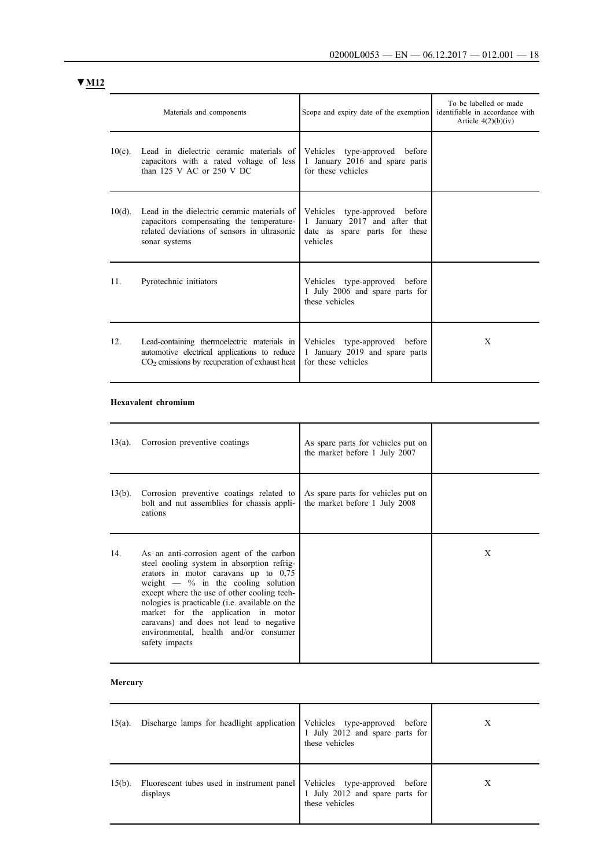|                 | Materials and components                                                                                                                                | Scope and expiry date of the exemption                                                                      | To be labelled or made<br>identifiable in accordance with<br>Article $4(2)(b)(iv)$ |
|-----------------|---------------------------------------------------------------------------------------------------------------------------------------------------------|-------------------------------------------------------------------------------------------------------------|------------------------------------------------------------------------------------|
| $10(c)$ .       | Lead in dielectric ceramic materials of<br>capacitors with a rated voltage of less<br>than $125$ V AC or $250$ V DC                                     | Vehicles type-approved before<br>1 January 2016 and spare parts<br>for these vehicles                       |                                                                                    |
| $10(d)$ .       | Lead in the dielectric ceramic materials of<br>capacitors compensating the temperature-<br>related deviations of sensors in ultrasonic<br>sonar systems | Vehicles type-approved before<br>1 January 2017 and after that<br>date as spare parts for these<br>vehicles |                                                                                    |
| 11.             | Pyrotechnic initiators                                                                                                                                  | Vehicles type-approved before<br>1 July 2006 and spare parts for<br>these vehicles                          |                                                                                    |
| 12 <sub>1</sub> | Lead-containing thermoelectric materials in<br>automotive electrical applications to reduce<br>$CO2$ emissions by recuperation of exhaust heat          | Vehicles type-approved before<br>1 January 2019 and spare parts<br>for these vehicles                       | X                                                                                  |

### **Hexavalent chromium**

| $13(a)$ . | Corrosion preventive coatings                                                                                                                                                                                                                                                                                                                                                                                                  | As spare parts for vehicles put on<br>the market before 1 July 2007 |   |
|-----------|--------------------------------------------------------------------------------------------------------------------------------------------------------------------------------------------------------------------------------------------------------------------------------------------------------------------------------------------------------------------------------------------------------------------------------|---------------------------------------------------------------------|---|
| $13(b)$ . | Corrosion preventive coatings related to<br>bolt and nut assemblies for chassis appli-<br>cations                                                                                                                                                                                                                                                                                                                              | As spare parts for vehicles put on<br>the market before 1 July 2008 |   |
| 14.       | As an anti-corrosion agent of the carbon<br>steel cooling system in absorption refrig-<br>erators in motor caravans up to $0.75$<br>weight $-$ % in the cooling solution<br>except where the use of other cooling tech-<br>nologies is practicable ( <i>i.e.</i> available on the<br>market for the application in motor<br>caravans) and does not lead to negative<br>environmental, health and/or consumer<br>safety impacts |                                                                     | X |

## **Mercury**

| $15(a)$ . | Discharge lamps for headlight application   Vehicles type-approved before | 1 July 2012 and spare parts for<br>these vehicles                                     | Х |
|-----------|---------------------------------------------------------------------------|---------------------------------------------------------------------------------------|---|
| $15(b)$ . | Fluorescent tubes used in instrument panel<br>displays                    | Vehicles type-approved<br>before<br>1 July 2012 and spare parts for<br>these vehicles | Х |

# **▼M12**